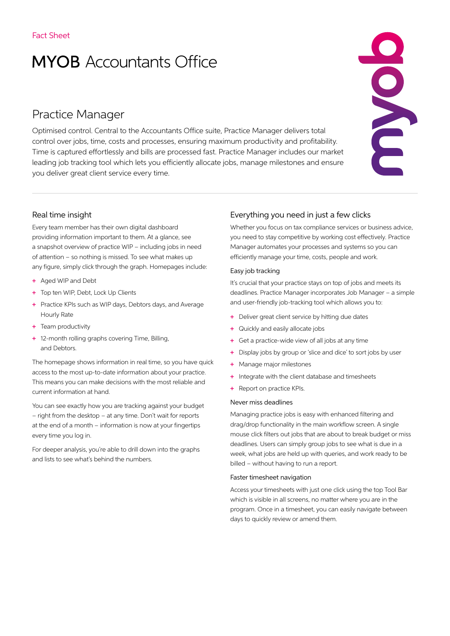# **MYOB** Accountants Office

## Practice Manager

Optimised control. Central to the Accountants Office suite, Practice Manager delivers total control over jobs, time, costs and processes, ensuring maximum productivity and profitability. Time is captured effortlessly and bills are processed fast. Practice Manager includes our market leading job tracking tool which lets you efficiently allocate jobs, manage milestones and ensure you deliver great client service every time.

# END

### Real time insight

Every team member has their own digital dashboard providing information important to them. At a glance, see a snapshot overview of practice WIP – including jobs in need of attention – so nothing is missed. To see what makes up any figure, simply click through the graph. Homepages include:

- + Aged WIP and Debt
- + Top ten WIP, Debt, Lock Up Clients
- + Practice KPIs such as WIP days, Debtors days, and Average Hourly Rate
- + Team productivity
- + 12-month rolling graphs covering Time, Billing, and Debtors.

The homepage shows information in real time, so you have quick access to the most up-to-date information about your practice. This means you can make decisions with the most reliable and current information at hand.

You can see exactly how you are tracking against your budget – right from the desktop – at any time. Don't wait for reports at the end of a month – information is now at your fingertips every time you log in.

For deeper analysis, you're able to drill down into the graphs and lists to see what's behind the numbers.

### Everything you need in just a few clicks

Whether you focus on tax compliance services or business advice, you need to stay competitive by working cost effectively. Practice Manager automates your processes and systems so you can efficiently manage your time, costs, people and work.

### Easy job tracking

It's crucial that your practice stays on top of jobs and meets its deadlines. Practice Manager incorporates Job Manager – a simple and user-friendly job-tracking tool which allows you to:

- + Deliver great client service by hitting due dates
- + Quickly and easily allocate jobs
- + Get a practice-wide view of all jobs at any time
- + Display jobs by group or 'slice and dice' to sort jobs by user
- + Manage major milestones
- + Integrate with the client database and timesheets
- + Report on practice KPIs.

### Never miss deadlines

Managing practice jobs is easy with enhanced filtering and drag/drop functionality in the main workflow screen. A single mouse click filters out jobs that are about to break budget or miss deadlines. Users can simply group jobs to see what is due in a week, what jobs are held up with queries, and work ready to be billed – without having to run a report.

### Faster timesheet navigation

Access your timesheets with just one click using the top Tool Bar which is visible in all screens, no matter where you are in the program. Once in a timesheet, you can easily navigate between days to quickly review or amend them.